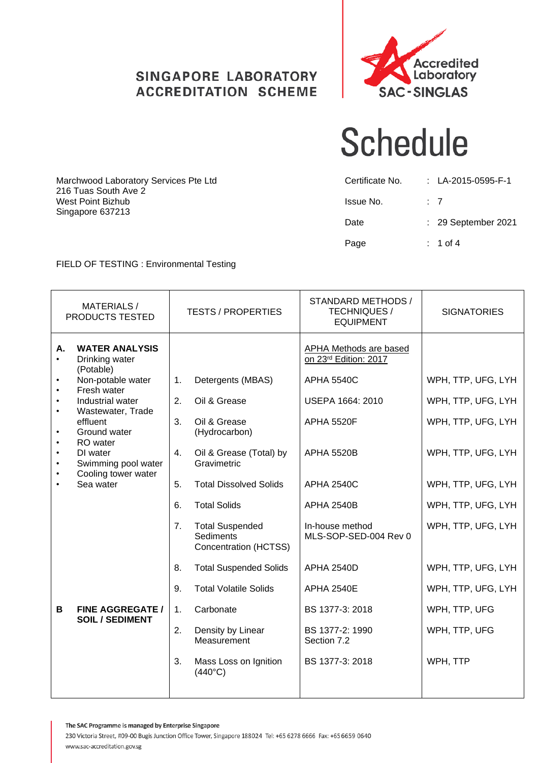## **SINGAPORE LABORATORY ACCREDITATION SCHEME**



# **Schedule**

| Certificate No. | : $LA-2015-0595-F-1$ |
|-----------------|----------------------|
| Issue No.       | : 7                  |
| Date            | : 29 September 2021  |
| Page            | $: 1$ of 4           |

### FIELD OF TESTING : Environmental Testing

Marchwood Laboratory Services Pte Ltd

216 Tuas South Ave 2 West Point Bizhub Singapore 637213

|    | <b>MATERIALS/</b><br>PRODUCTS TESTED                                                                                                                                                                         |                            | <b>TESTS / PROPERTIES</b>                                                                                                                                                                    | STANDARD METHODS /<br><b>TECHNIQUES /</b><br><b>EQUIPMENT</b>                                                                             | <b>SIGNATORIES</b>                                                                                         |
|----|--------------------------------------------------------------------------------------------------------------------------------------------------------------------------------------------------------------|----------------------------|----------------------------------------------------------------------------------------------------------------------------------------------------------------------------------------------|-------------------------------------------------------------------------------------------------------------------------------------------|------------------------------------------------------------------------------------------------------------|
| Α. | <b>WATER ANALYSIS</b><br>Drinking water<br>(Potable)<br>Non-potable water<br>Fresh water<br>Industrial water<br>Wastewater, Trade<br>effluent<br>Ground water<br>RO water<br>DI water<br>Swimming pool water | 1.<br>2.<br>3.<br>4.       | Detergents (MBAS)<br>Oil & Grease<br>Oil & Grease<br>(Hydrocarbon)<br>Oil & Grease (Total) by<br>Gravimetric                                                                                 | <b>APHA Methods are based</b><br>on 23rd Edition: 2017<br><b>APHA 5540C</b><br>USEPA 1664: 2010<br><b>APHA 5520F</b><br><b>APHA 5520B</b> | WPH, TTP, UFG, LYH<br>WPH, TTP, UFG, LYH<br>WPH, TTP, UFG, LYH<br>WPH, TTP, UFG, LYH                       |
|    | Cooling tower water<br>Sea water                                                                                                                                                                             | 5.<br>6.<br>7.<br>8.<br>9. | <b>Total Dissolved Solids</b><br><b>Total Solids</b><br><b>Total Suspended</b><br><b>Sediments</b><br>Concentration (HCTSS)<br><b>Total Suspended Solids</b><br><b>Total Volatile Solids</b> | <b>APHA 2540C</b><br><b>APHA 2540B</b><br>In-house method<br>MLS-SOP-SED-004 Rev 0<br><b>APHA 2540D</b><br><b>APHA 2540E</b>              | WPH, TTP, UFG, LYH<br>WPH, TTP, UFG, LYH<br>WPH, TTP, UFG, LYH<br>WPH, TTP, UFG, LYH<br>WPH, TTP, UFG, LYH |
| В  | <b>FINE AGGREGATE /</b><br><b>SOIL / SEDIMENT</b>                                                                                                                                                            | 1.<br>2.<br>3.             | Carbonate<br>Density by Linear<br>Measurement<br>Mass Loss on Ignition<br>$(440^{\circ}C)$                                                                                                   | BS 1377-3: 2018<br>BS 1377-2: 1990<br>Section 7.2<br>BS 1377-3: 2018                                                                      | WPH, TTP, UFG<br>WPH, TTP, UFG<br>WPH, TTP                                                                 |

The SAC Programme is managed by Enterprise Singapore

230 Victoria Street, #09-00 Bugis Junction Office Tower, Singapore 188024 Tel: +65 6278 6666 Fax: +65 6659 0640 www.sac-accreditation.gov.sg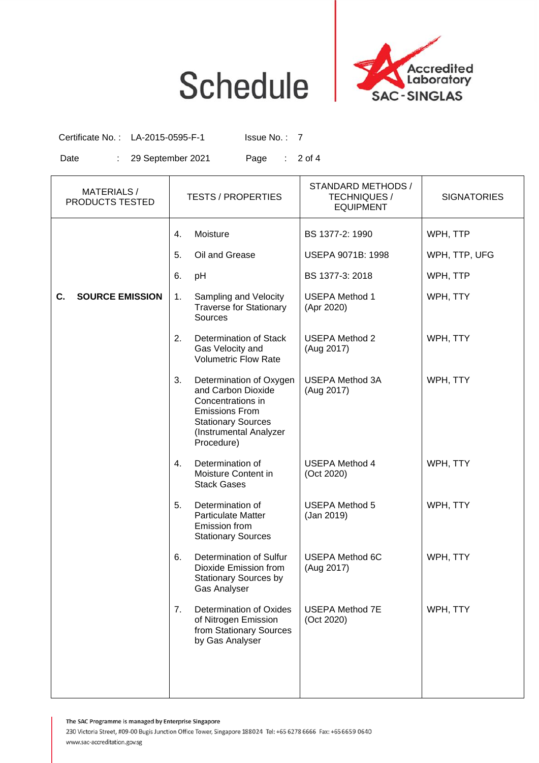



Certificate No.: LA-2015-0595-F-1 Issue No.: 7

Date : 29 September 2021 Page : 2 of 4

| <b>MATERIALS/</b><br>PRODUCTS TESTED | <b>TESTS / PROPERTIES</b>                                                                                                                                              | STANDARD METHODS /<br><b>TECHNIQUES /</b><br><b>EQUIPMENT</b> | <b>SIGNATORIES</b> |
|--------------------------------------|------------------------------------------------------------------------------------------------------------------------------------------------------------------------|---------------------------------------------------------------|--------------------|
|                                      | Moisture<br>4.                                                                                                                                                         | BS 1377-2: 1990                                               | WPH, TTP           |
|                                      | 5.<br>Oil and Grease                                                                                                                                                   | USEPA 9071B: 1998                                             | WPH, TTP, UFG      |
|                                      | 6.<br>pH                                                                                                                                                               | BS 1377-3: 2018                                               | WPH, TTP           |
| <b>SOURCE EMISSION</b><br>C.         | Sampling and Velocity<br>1.<br><b>Traverse for Stationary</b><br>Sources                                                                                               | <b>USEPA Method 1</b><br>(Apr 2020)                           | WPH, TTY           |
|                                      | 2.<br>Determination of Stack<br>Gas Velocity and<br><b>Volumetric Flow Rate</b>                                                                                        | <b>USEPA Method 2</b><br>(Aug 2017)                           | WPH, TTY           |
|                                      | 3.<br>Determination of Oxygen<br>and Carbon Dioxide<br>Concentrations in<br><b>Emissions From</b><br><b>Stationary Sources</b><br>(Instrumental Analyzer<br>Procedure) | <b>USEPA Method 3A</b><br>(Aug 2017)                          | WPH, TTY           |
|                                      | 4.<br>Determination of<br>Moisture Content in<br><b>Stack Gases</b>                                                                                                    | <b>USEPA Method 4</b><br>(Oct 2020)                           | WPH, TTY           |
|                                      | 5.<br>Determination of<br><b>Particulate Matter</b><br>Emission from<br><b>Stationary Sources</b>                                                                      | <b>USEPA Method 5</b><br>(Jan 2019)                           | WPH, TTY           |
|                                      | 6.<br>Determination of Sulfur<br>Dioxide Emission from<br><b>Stationary Sources by</b><br><b>Gas Analyser</b>                                                          | <b>USEPA Method 6C</b><br>(Aug 2017)                          | WPH, TTY           |
|                                      | 7.<br>Determination of Oxides<br>of Nitrogen Emission<br>from Stationary Sources<br>by Gas Analyser                                                                    | <b>USEPA Method 7E</b><br>(Oct 2020)                          | WPH, TTY           |
|                                      |                                                                                                                                                                        |                                                               |                    |

The SAC Programme is managed by Enterprise Singapore

230 Victoria Street, #09-00 Bugis Junction Office Tower, Singapore 188024 Tel: +65 6278 6666 Fax: +65 6659 0640 www.sac-accreditation.gov.sg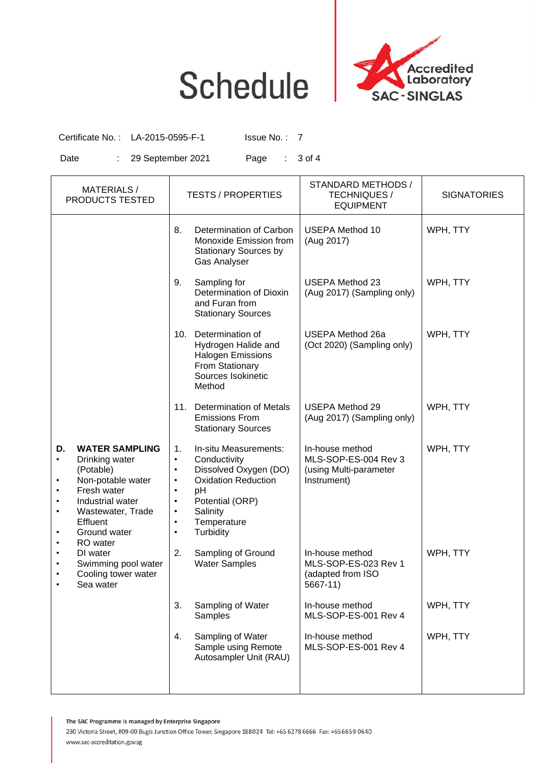## **Schedule**



Certificate No.: LA-2015-0595-F-1 Issue No.: 7

Date : 29 September 2021 Page : 3 of 4

| <b>MATERIALS/</b><br>PRODUCTS TESTED                                                                                                                                                                             | <b>TESTS / PROPERTIES</b>                                                                                                                                                                                                                                                   | STANDARD METHODS /<br><b>TECHNIQUES /</b><br><b>EQUIPMENT</b>                    | <b>SIGNATORIES</b> |
|------------------------------------------------------------------------------------------------------------------------------------------------------------------------------------------------------------------|-----------------------------------------------------------------------------------------------------------------------------------------------------------------------------------------------------------------------------------------------------------------------------|----------------------------------------------------------------------------------|--------------------|
|                                                                                                                                                                                                                  | 8.<br>Determination of Carbon<br>Monoxide Emission from<br><b>Stationary Sources by</b><br>Gas Analyser                                                                                                                                                                     | <b>USEPA Method 10</b><br>(Aug 2017)                                             | WPH, TTY           |
|                                                                                                                                                                                                                  | Sampling for<br>9.<br>Determination of Dioxin<br>and Furan from<br><b>Stationary Sources</b>                                                                                                                                                                                | <b>USEPA Method 23</b><br>(Aug 2017) (Sampling only)                             | WPH, TTY           |
|                                                                                                                                                                                                                  | 10. Determination of<br>Hydrogen Halide and<br><b>Halogen Emissions</b><br>From Stationary<br>Sources Isokinetic<br>Method                                                                                                                                                  | <b>USEPA Method 26a</b><br>(Oct 2020) (Sampling only)                            | WPH, TTY           |
|                                                                                                                                                                                                                  | <b>Determination of Metals</b><br>11.<br><b>Emissions From</b><br><b>Stationary Sources</b>                                                                                                                                                                                 | <b>USEPA Method 29</b><br>(Aug 2017) (Sampling only)                             | WPH, TTY           |
| <b>WATER SAMPLING</b><br>D.<br>Drinking water<br>$\bullet$<br>(Potable)<br>Non-potable water<br>Fresh water<br>Industrial water<br>Wastewater, Trade<br>$\bullet$<br><b>Effluent</b><br>Ground water<br>RO water | 1.<br>In-situ Measurements:<br>Conductivity<br>$\bullet$<br>Dissolved Oxygen (DO)<br>$\bullet$<br><b>Oxidation Reduction</b><br>$\bullet$<br>pH<br>$\bullet$<br>Potential (ORP)<br>$\bullet$<br>Salinity<br>$\bullet$<br>Temperature<br>$\bullet$<br>Turbidity<br>$\bullet$ | In-house method<br>MLS-SOP-ES-004 Rev 3<br>(using Multi-parameter<br>Instrument) | WPH, TTY           |
| DI water<br>Swimming pool water<br>Cooling tower water<br>Sea water                                                                                                                                              | 2.<br>Sampling of Ground<br><b>Water Samples</b>                                                                                                                                                                                                                            | In-house method<br>MLS-SOP-ES-023 Rev 1<br>(adapted from ISO<br>5667-11)         | WPH, TTY           |
|                                                                                                                                                                                                                  | 3.<br>Sampling of Water<br>Samples                                                                                                                                                                                                                                          | In-house method<br>MLS-SOP-ES-001 Rev 4                                          | WPH, TTY           |
|                                                                                                                                                                                                                  | Sampling of Water<br>4.<br>Sample using Remote<br>Autosampler Unit (RAU)                                                                                                                                                                                                    | In-house method<br>MLS-SOP-ES-001 Rev 4                                          | WPH, TTY           |

The SAC Programme is managed by Enterprise Singapore

230 Victoria Street, #09-00 Bugis Junction Office Tower, Singapore 188024 Tel: +65 6278 6666 Fax: +65 6659 0640 www.sac-accreditation.gov.sg